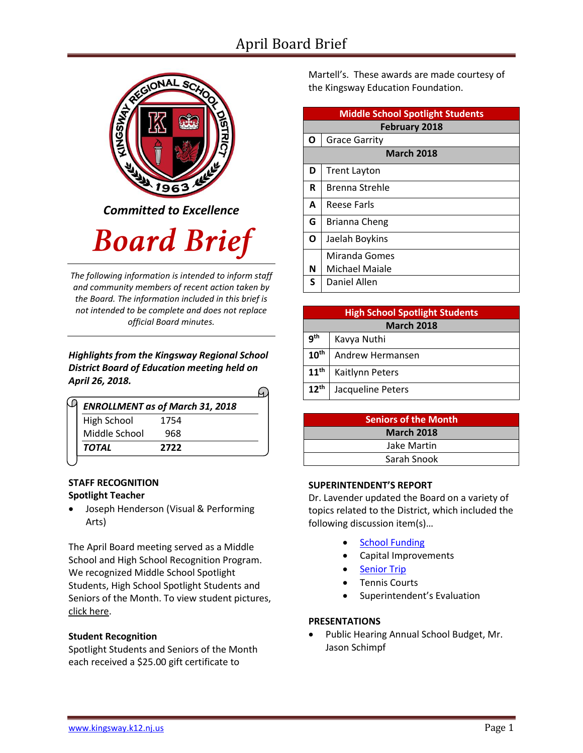## April Board Brief



*Committed to Excellence*

# **Board Brief**

*The following information is intended to inform staff and community members of recent action taken by the Board. The information included in this brief is not intended to be complete and does not replace official Board minutes.*

*Highlights from the Kingsway Regional School District Board of Education meeting held on April 26, 2018.* 

| <b>ENROLLMENT as of March 31, 2018</b> |      |  |
|----------------------------------------|------|--|
| <b>High School</b>                     | 1754 |  |
| Middle School                          | 968  |  |
| <b>TOTAL</b>                           | 2722 |  |

#### **STAFF RECOGNITION Spotlight Teacher**

 Joseph Henderson (Visual & Performing Arts)

The April Board meeting served as a Middle School and High School Recognition Program. We recognized Middle School Spotlight Students, High School Spotlight Students and Seniors of the Month. To view student picture[s,](http://www.krsd.org/Page/1303) [click here.](http://www.krsd.org/Page/1303)

#### **Student Recognition**

Spotlight Students and Seniors of the Month each received a \$25.00 gift certificate to

Martell's. These awards are made courtesy of the Kingsway Education Foundation.

| <b>Middle School Spotlight Students</b> |                     |  |  |  |  |
|-----------------------------------------|---------------------|--|--|--|--|
| <b>February 2018</b>                    |                     |  |  |  |  |
| Ο                                       | Grace Garrity       |  |  |  |  |
| <b>March 2018</b>                       |                     |  |  |  |  |
| D                                       | <b>Trent Layton</b> |  |  |  |  |
| R                                       | Brenna Strehle      |  |  |  |  |
| A                                       | Reese Farls         |  |  |  |  |
| G                                       | Brianna Cheng       |  |  |  |  |
| Ο                                       | Jaelah Boykins      |  |  |  |  |
|                                         | Miranda Gomes       |  |  |  |  |
| N                                       | Michael Maiale      |  |  |  |  |
| S                                       | Daniel Allen        |  |  |  |  |

| <b>High School Spotlight Students</b> |                   |  |  |  |
|---------------------------------------|-------------------|--|--|--|
| <b>March 2018</b>                     |                   |  |  |  |
| 9 <sup>th</sup>                       | Kavya Nuthi       |  |  |  |
| $10^{\text{th}}$                      | Andrew Hermansen  |  |  |  |
| 11 <sup>th</sup>                      | Kaitlynn Peters   |  |  |  |
| $12^{th}$                             | Jacqueline Peters |  |  |  |

| <b>Seniors of the Month</b> |  |  |
|-----------------------------|--|--|
| <b>March 2018</b>           |  |  |
| Jake Martin                 |  |  |
| Sarah Snook                 |  |  |

#### **SUPERINTENDENT'S REPORT**

Dr. Lavender updated the Board on a variety of topics related to the District, which included the following discussion item(s)…

- **[School Funding](https://www.krsd.org/domain/375)**
- Capital Improvements
- [Senior Trip](https://www.krsd.org/site/default.aspx?PageType=3&DomainID=4&ModuleInstanceID=10&ViewID=6446EE88-D30C-497E-9316-3F8874B3E108&RenderLoc=0&FlexDataID=4012&PageID=1)
- Tennis Courts
- Superintendent's Evaluation

#### **PRESENTATIONS**

 Public Hearing Annual School Budget, Mr. Jason Schimpf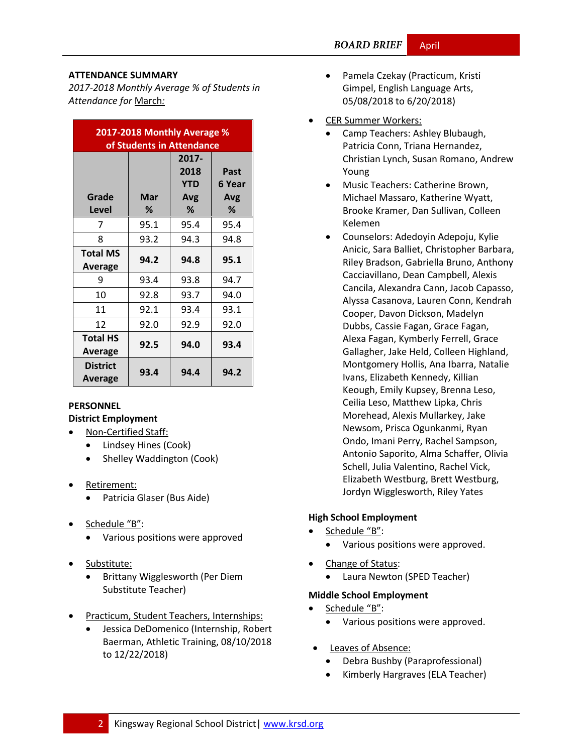#### **ATTENDANCE SUMMARY**

*2017-2018 Monthly Average % of Students in Attendance for* March*:*

| 2017-2018 Monthly Average %<br>of Students in Attendance |          |                                         |                            |  |  |
|----------------------------------------------------------|----------|-----------------------------------------|----------------------------|--|--|
| Grade<br>Level                                           | Mar<br>% | 2017-<br>2018<br><b>YTD</b><br>Avg<br>℅ | Past<br>6 Year<br>Avg<br>% |  |  |
| 7                                                        | 95.1     | 95.4                                    | 95.4                       |  |  |
| 8                                                        | 93.2     | 94.3                                    | 94.8                       |  |  |
| <b>Total MS</b><br>Average                               | 94.2     | 94.8                                    | 95.1                       |  |  |
| 9                                                        | 93.4     | 93.8                                    | 94.7                       |  |  |
| 10                                                       | 92.8     | 93.7                                    | 94.0                       |  |  |
| 11                                                       | 92.1     | 93.4                                    | 93.1                       |  |  |
| 12                                                       | 92.0     | 92.9                                    | 92.0                       |  |  |
| <b>Total HS</b><br>Average                               | 92.5     | 94.0                                    | 93.4                       |  |  |
| <b>District</b><br>Average                               | 93.4     | 94.4                                    | 94.2                       |  |  |

### **PERSONNEL**

#### **District Employment**

- Non-Certified Staff:
	- Lindsey Hines (Cook)
	- Shelley Waddington (Cook)
- Retirement:
	- Patricia Glaser (Bus Aide)
- Schedule "B":
	- Various positions were approved
- Substitute:
	- Brittany Wigglesworth (Per Diem Substitute Teacher)
- Practicum, Student Teachers, Internships:
	- Jessica DeDomenico (Internship, Robert Baerman, Athletic Training, 08/10/2018 to 12/22/2018)
- Pamela Czekay (Practicum, Kristi Gimpel, English Language Arts, 05/08/2018 to 6/20/2018)
- CER Summer Workers:
	- Camp Teachers: Ashley Blubaugh, Patricia Conn, Triana Hernandez, Christian Lynch, Susan Romano, Andrew Young
	- Music Teachers: Catherine Brown, Michael Massaro, Katherine Wyatt, Brooke Kramer, Dan Sullivan, Colleen Kelemen
	- Counselors: Adedoyin Adepoju, Kylie Anicic, Sara Balliet, Christopher Barbara, Riley Bradson, Gabriella Bruno, Anthony Cacciavillano, Dean Campbell, Alexis Cancila, Alexandra Cann, Jacob Capasso, Alyssa Casanova, Lauren Conn, Kendrah Cooper, Davon Dickson, Madelyn Dubbs, Cassie Fagan, Grace Fagan, Alexa Fagan, Kymberly Ferrell, Grace Gallagher, Jake Held, Colleen Highland, Montgomery Hollis, Ana Ibarra, Natalie Ivans, Elizabeth Kennedy, Killian Keough, Emily Kupsey, Brenna Leso, Ceilia Leso, Matthew Lipka, Chris Morehead, Alexis Mullarkey, Jake Newsom, Prisca Ogunkanmi, Ryan Ondo, Imani Perry, Rachel Sampson, Antonio Saporito, Alma Schaffer, Olivia Schell, Julia Valentino, Rachel Vick, Elizabeth Westburg, Brett Westburg, Jordyn Wigglesworth, Riley Yates

#### **High School Employment**

- Schedule "B":
	- Various positions were approved.
- Change of Status:
	- Laura Newton (SPED Teacher)

#### **Middle School Employment**

- Schedule "B":
	- Various positions were approved.
- Leaves of Absence:
	- Debra Bushby (Paraprofessional)
	- Kimberly Hargraves (ELA Teacher)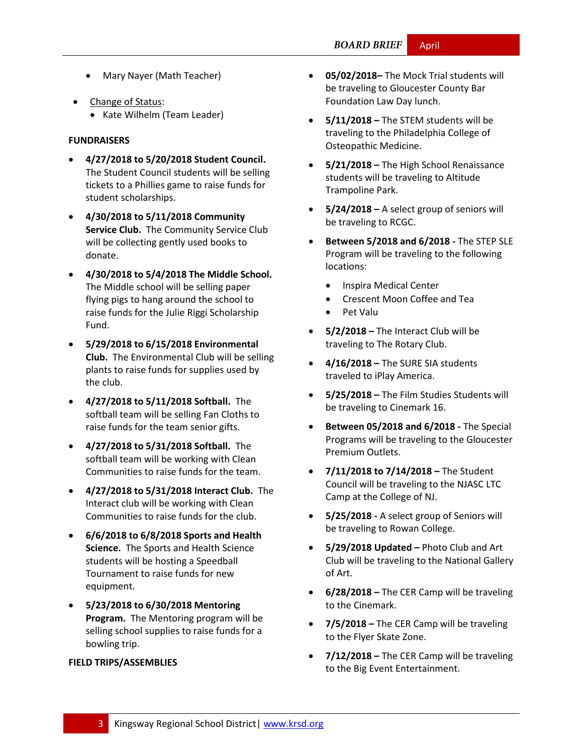- Mary Nayer (Math Teacher)
- Change of Status:
	- Kate Wilhelm (Team Leader)

#### **FUNDRAISERS**

- **4/27/2018 to 5/20/2018 Student Council.** The Student Council students will be selling tickets to a Phillies game to raise funds for student scholarships.
- **4/30/2018 to 5/11/2018 Community Service Club.** The Community Service Club will be collecting gently used books to donate.
- **4/30/2018 to 5/4/2018 The Middle School.** The Middle school will be selling paper flying pigs to hang around the school to raise funds for the Julie Riggi Scholarship Fund.
- **5/29/2018 to 6/15/2018 Environmental Club.** The Environmental Club will be selling plants to raise funds for supplies used by the club.
- **4/27/2018 to 5/11/2018 Softball.** The softball team will be selling Fan Cloths to raise funds for the team senior gifts.
- **4/27/2018 to 5/31/2018 Softball.** The softball team will be working with Clean Communities to raise funds for the team.
- **4/27/2018 to 5/31/2018 Interact Club.** The Interact club will be working with Clean Communities to raise funds for the club.
- **6/6/2018 to 6/8/2018 Sports and Health Science.** The Sports and Health Science students will be hosting a Speedball Tournament to raise funds for new equipment.
- **5/23/2018 to 6/30/2018 Mentoring Program.** The Mentoring program will be selling school supplies to raise funds for a bowling trip.

#### **FIELD TRIPS/ASSEMBLIES**

- **05/02/2018–** The Mock Trial students will be traveling to Gloucester County Bar Foundation Law Day lunch.
- **5/11/2018 –** The STEM students will be traveling to the Philadelphia College of Osteopathic Medicine.
- **5/21/2018 –** The High School Renaissance students will be traveling to Altitude Trampoline Park.
- **5/24/2018 –** A select group of seniors will be traveling to RCGC.
- **Between 5/2018 and 6/2018 -** The STEP SLE Program will be traveling to the following locations:
	- Inspira Medical Center
	- Crescent Moon Coffee and Tea
	- Pet Valu
- **5/2/2018 –** The Interact Club will be traveling to The Rotary Club.
- **4/16/2018 –** The SURE SIA students traveled to iPlay America.
- **5/25/2018 –** The Film Studies Students will be traveling to Cinemark 16.
- **Between 05/2018 and 6/2018 -** The Special Programs will be traveling to the Gloucester Premium Outlets.
- **7/11/2018 to 7/14/2018 –** The Student Council will be traveling to the NJASC LTC Camp at the College of NJ.
- **5/25/2018 -** A select group of Seniors will be traveling to Rowan College.
- **5/29/2018 Updated –** Photo Club and Art Club will be traveling to the National Gallery of Art.
- **6/28/2018 –** The CER Camp will be traveling to the Cinemark.
- **7/5/2018 –** The CER Camp will be traveling to the Flyer Skate Zone.
- **7/12/2018 –** The CER Camp will be traveling to the Big Event Entertainment.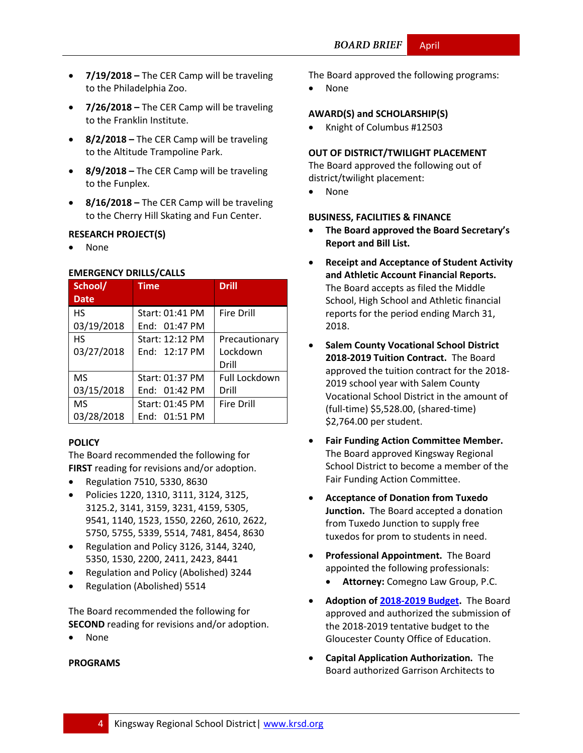- **7/19/2018 –** The CER Camp will be traveling to the Philadelphia Zoo.
- **7/26/2018 –** The CER Camp will be traveling to the Franklin Institute.
- **8/2/2018 –** The CER Camp will be traveling to the Altitude Trampoline Park.
- **8/9/2018 –** The CER Camp will be traveling to the Funplex.
- **8/16/2018 –** The CER Camp will be traveling to the Cherry Hill Skating and Fun Center.

#### **RESEARCH PROJECT(S)**

None

#### **EMERGENCY DRILLS/CALLS**

| School/     | <b>Time</b>     | <b>Drill</b>      |
|-------------|-----------------|-------------------|
| <b>Date</b> |                 |                   |
| <b>HS</b>   | Start: 01:41 PM | Fire Drill        |
| 03/19/2018  | End: $01:47$ PM |                   |
| <b>HS</b>   | Start: 12:12 PM | Precautionary     |
| 03/27/2018  | End: 12:17 PM   | Lockdown          |
|             |                 | Drill             |
| <b>MS</b>   | Start: 01:37 PM | Full Lockdown     |
| 03/15/2018  | End: $01:42$ PM | Drill             |
| <b>MS</b>   | Start: 01:45 PM | <b>Fire Drill</b> |
| 03/28/2018  | End: 01:51 PM   |                   |

#### **[POLICY](http://www.straussesmay.com/seportal/Public/DistrictPolicyTOC.aspx?id=f0cc945ef3894b8d9ad5f87d948ca425&PolicyID=)**

The Board recommended the following for **FIRST** reading for revisions and/or adoption.

- Regulation 7510, 5330, 8630
- Policies 1220, 1310, 3111, 3124, 3125, 3125.2, 3141, 3159, 3231, 4159, 5305, 9541, 1140, 1523, 1550, 2260, 2610, 2622, 5750, 5755, 5339, 5514, 7481, 8454, 8630
- Regulation and Policy 3126, 3144, 3240, 5350, 1530, 2200, 2411, 2423, 8441
- Regulation and Policy (Abolished) 3244
- Regulation (Abolished) 5514

The Board recommended the following for **SECOND** reading for revisions and/or adoption.

None

#### **PROGRAMS**

The Board approved the following programs:

None

#### **AWARD(S) and SCHOLARSHIP(S)**

• Knight of Columbus #12503

#### **OUT OF DISTRICT/TWILIGHT PLACEMENT**

The Board approved the following out of district/twilight placement:

None

#### **BUSINESS, FACILITIES & FINANCE**

- **The Board approved the Board Secretary's Report and Bill List.**
- **Receipt and Acceptance of Student Activity and Athletic Account Financial Reports.** The Board accepts as filed the Middle School, High School and Athletic financial reports for the period ending March 31, 2018.
- **Salem County Vocational School District 2018-2019 Tuition Contract.** The Board approved the tuition contract for the 2018- 2019 school year with Salem County Vocational School District in the amount of (full-time) \$5,528.00, (shared-time) \$2,764.00 per student.
- **Fair Funding Action Committee Member.**  The Board approved Kingsway Regional School District to become a member of the Fair Funding Action Committee.
- **Acceptance of Donation from Tuxedo Junction.** The Board accepted a donation from Tuxedo Junction to supply free tuxedos for prom to students in need.
- **Professional Appointment.** The Board appointed the following professionals:
	- **Attorney:** Comegno Law Group, P.C.
- **Adoption of [2018-2019 Budget.](https://www.krsd.org/site/handlers/filedownload.ashx?moduleinstanceid=909&dataid=4027&FileName=2018-19%20Budget%20Narrative%20-%20Final.pdf)** The Board approved and authorized the submission of the 2018-2019 tentative budget to the Gloucester County Office of Education.
- **Capital Application Authorization.** The Board authorized Garrison Architects to